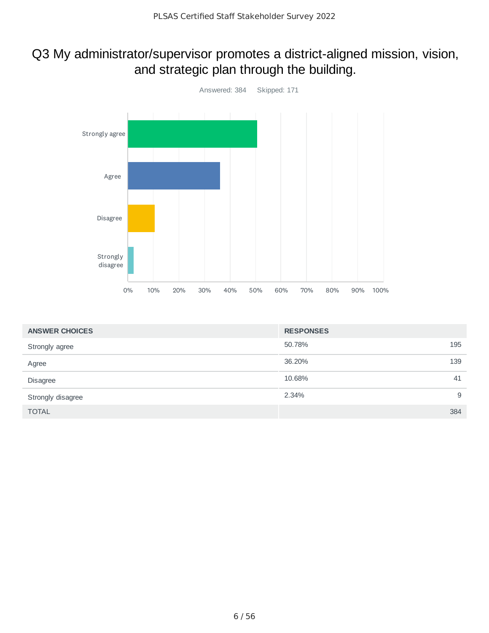#### Q3 My administrator/supervisor promotes a district-aligned mission, vision, and strategic plan through the building.



| <b>ANSWER CHOICES</b> | <b>RESPONSES</b> |
|-----------------------|------------------|
| Strongly agree        | 195<br>50.78%    |
| Agree                 | 139<br>36.20%    |
| <b>Disagree</b>       | 10.68%<br>41     |
| Strongly disagree     | 9<br>2.34%       |
| <b>TOTAL</b>          | 384              |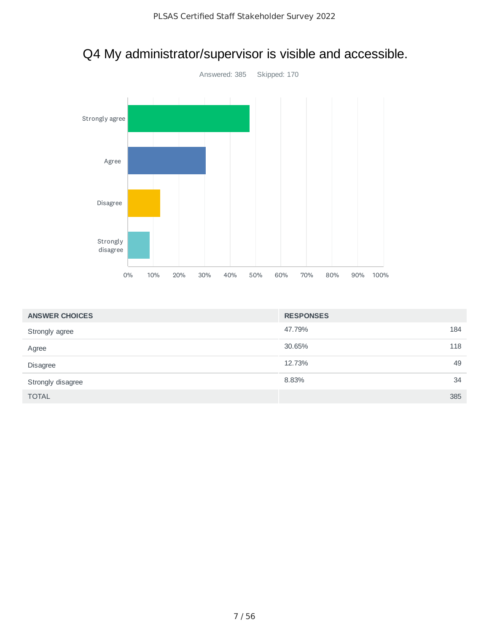

#### Q4 My administrator/supervisor is visible and accessible.

| <b>ANSWER CHOICES</b> | <b>RESPONSES</b> |     |
|-----------------------|------------------|-----|
| Strongly agree        | 47.79%           | 184 |
| Agree                 | 30.65%           | 118 |
| Disagree              | 12.73%           | 49  |
| Strongly disagree     | 8.83%            | 34  |
| <b>TOTAL</b>          |                  | 385 |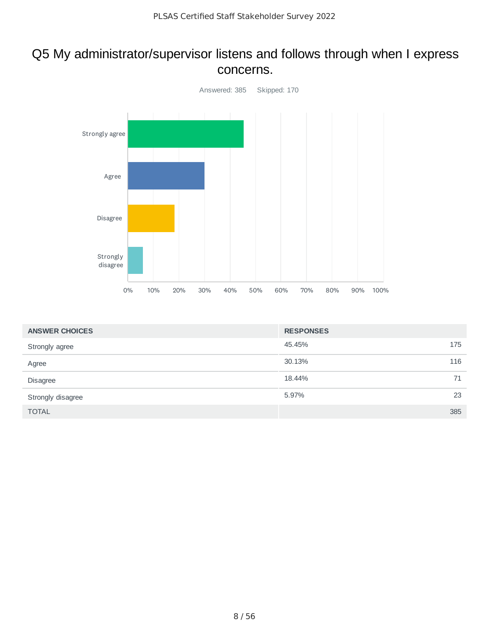#### Q5 My administrator/supervisor listens and follows through when I express concerns.



| <b>ANSWER CHOICES</b> | <b>RESPONSES</b> |     |
|-----------------------|------------------|-----|
| Strongly agree        | 45.45%           | 175 |
| Agree                 | 30.13%           | 116 |
| <b>Disagree</b>       | 18.44%           | 71  |
| Strongly disagree     | 5.97%            | 23  |
| <b>TOTAL</b>          |                  | 385 |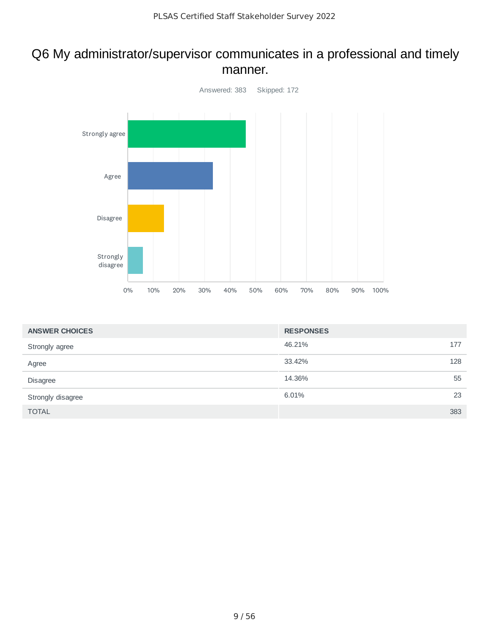#### Q6 My administrator/supervisor communicates in a professional and timely manner.



| <b>ANSWER CHOICES</b> | <b>RESPONSES</b> |     |
|-----------------------|------------------|-----|
| Strongly agree        | 46.21%           | 177 |
| Agree                 | 33.42%           | 128 |
| <b>Disagree</b>       | 14.36%           | 55  |
| Strongly disagree     | 6.01%            | 23  |
| <b>TOTAL</b>          |                  | 383 |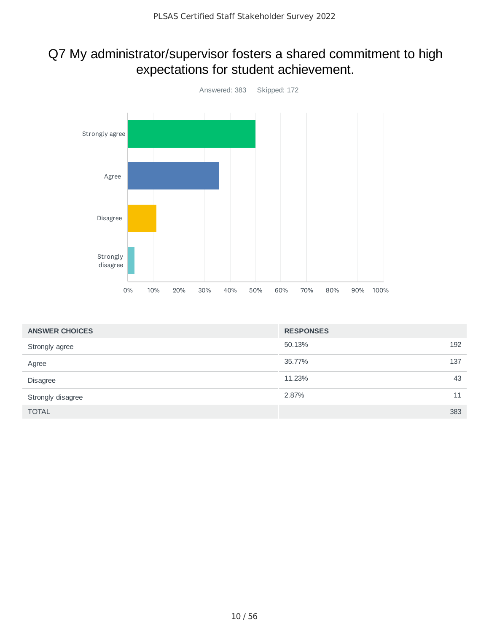#### Q7 My administrator/supervisor fosters a shared commitment to high expectations for student achievement.



| <b>ANSWER CHOICES</b> | <b>RESPONSES</b> |     |
|-----------------------|------------------|-----|
| Strongly agree        | 50.13%           | 192 |
| Agree                 | 35.77%           | 137 |
| <b>Disagree</b>       | 11.23%           | 43  |
| Strongly disagree     | 2.87%            | 11  |
| <b>TOTAL</b>          |                  | 383 |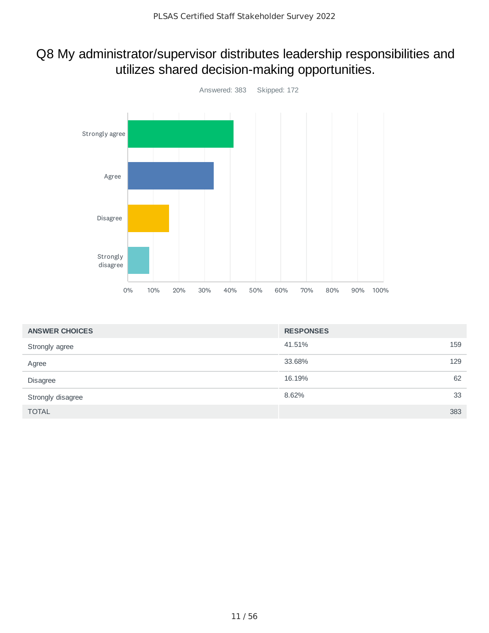#### Q8 My administrator/supervisor distributes leadership responsibilities and utilizes shared decision-making opportunities.



| <b>ANSWER CHOICES</b> | <b>RESPONSES</b> |     |
|-----------------------|------------------|-----|
| Strongly agree        | 41.51%           | 159 |
| Agree                 | 33.68%           | 129 |
| <b>Disagree</b>       | 16.19%           | 62  |
| Strongly disagree     | 8.62%            | 33  |
| <b>TOTAL</b>          |                  | 383 |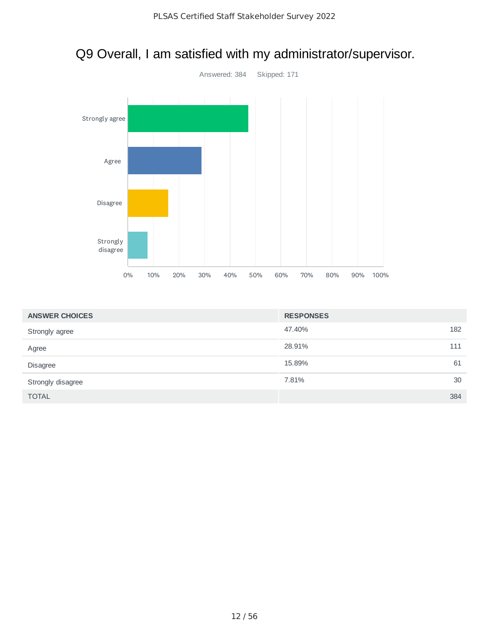# Answered: 384 Skipped: 171 0% 10% 20% 30% 40% 50% 60% 70% 80% 90% 100% Strongly agree Agree Disagree Strongly disagree

| <b>ANSWER CHOICES</b> | <b>RESPONSES</b> |     |
|-----------------------|------------------|-----|
| Strongly agree        | 47.40%           | 182 |
| Agree                 | 28.91%           | 111 |
| Disagree              | 15.89%           | 61  |
| Strongly disagree     | 7.81%            | 30  |
| <b>TOTAL</b>          |                  | 384 |

#### Q9 Overall, I am satisfied with my administrator/supervisor.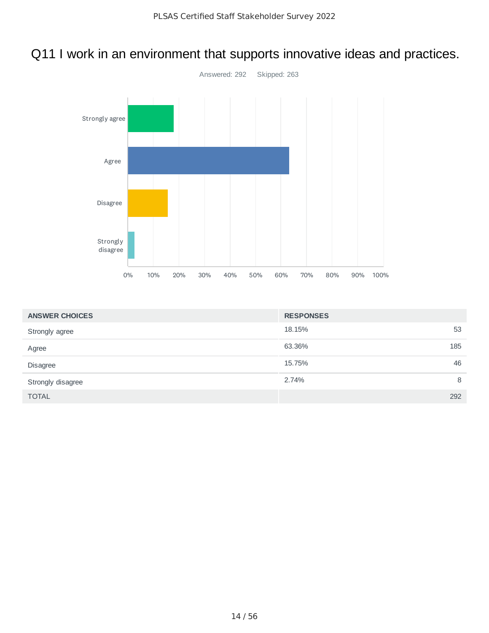#### Q11 I work in an environment that supports innovative ideas and practices.



| <b>ANSWER CHOICES</b> | <b>RESPONSES</b> |     |
|-----------------------|------------------|-----|
| Strongly agree        | 18.15%           | 53  |
| Agree                 | 63.36%           | 185 |
| Disagree              | 15.75%           | 46  |
| Strongly disagree     | 2.74%            | 8   |
| <b>TOTAL</b>          |                  | 292 |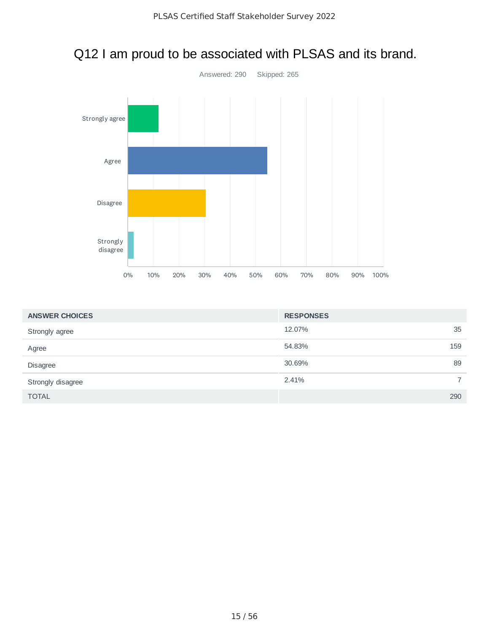

## Q12 I am proud to be associated with PLSAS and its brand.

| <b>ANSWER CHOICES</b> | <b>RESPONSES</b> |     |
|-----------------------|------------------|-----|
| Strongly agree        | 12.07%           | 35  |
| Agree                 | 54.83%           | 159 |
| Disagree              | 30.69%           | 89  |
| Strongly disagree     | 2.41%            |     |
| <b>TOTAL</b>          |                  | 290 |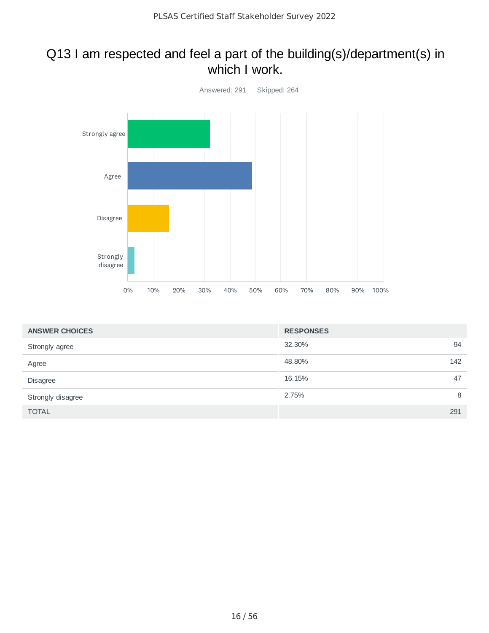#### Q13 I am respected and feel a part of the building(s)/department(s) in which I work.



| <b>ANSWER CHOICES</b> | <b>RESPONSES</b> |     |
|-----------------------|------------------|-----|
| Strongly agree        | 32.30%           | 94  |
| Agree                 | 48.80%           | 142 |
| <b>Disagree</b>       | 16.15%           | 47  |
| Strongly disagree     | 2.75%            | 8   |
| <b>TOTAL</b>          |                  | 291 |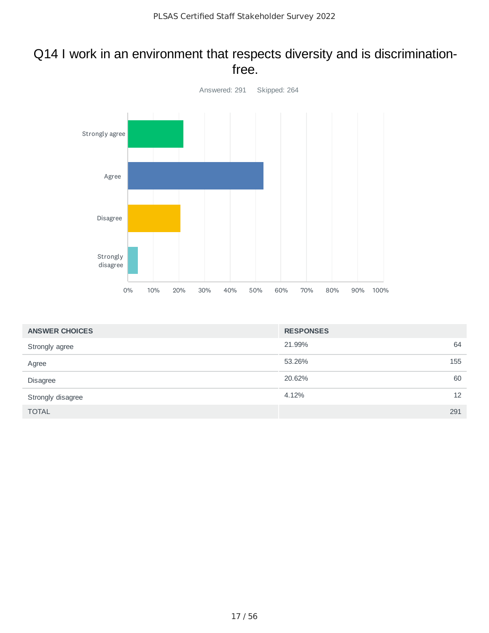#### Q14 I work in an environment that respects diversity and is discriminationfree.



| <b>ANSWER CHOICES</b> | <b>RESPONSES</b> |     |
|-----------------------|------------------|-----|
| Strongly agree        | 21.99%           | 64  |
| Agree                 | 53.26%           | 155 |
| Disagree              | 20.62%           | 60  |
| Strongly disagree     | 4.12%            | 12  |
| <b>TOTAL</b>          |                  | 291 |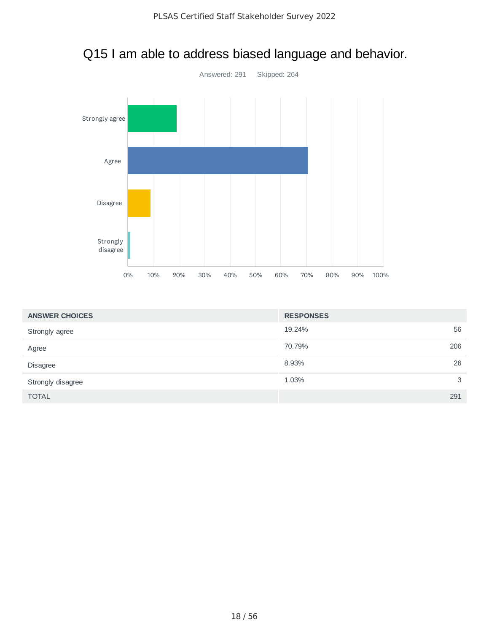

#### Q15 I am able to address biased language and behavior.

| <b>ANSWER CHOICES</b> | <b>RESPONSES</b> |     |
|-----------------------|------------------|-----|
| Strongly agree        | 19.24%           | 56  |
| Agree                 | 70.79%           | 206 |
| Disagree              | 8.93%            | 26  |
| Strongly disagree     | 1.03%            | 3   |
| <b>TOTAL</b>          |                  | 291 |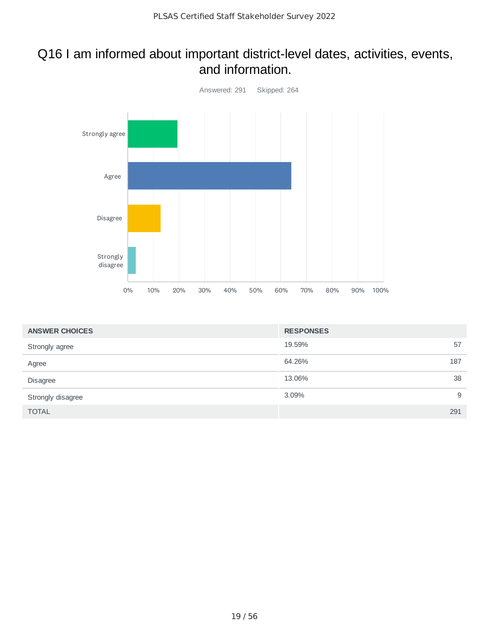#### Q16 I am informed about important district-level dates, activities, events, and information.



| <b>ANSWER CHOICES</b> | <b>RESPONSES</b> |     |
|-----------------------|------------------|-----|
| Strongly agree        | 19.59%           | 57  |
| Agree                 | 64.26%           | 187 |
| Disagree              | 13.06%           | 38  |
| Strongly disagree     | 3.09%            | 9   |
| <b>TOTAL</b>          |                  | 291 |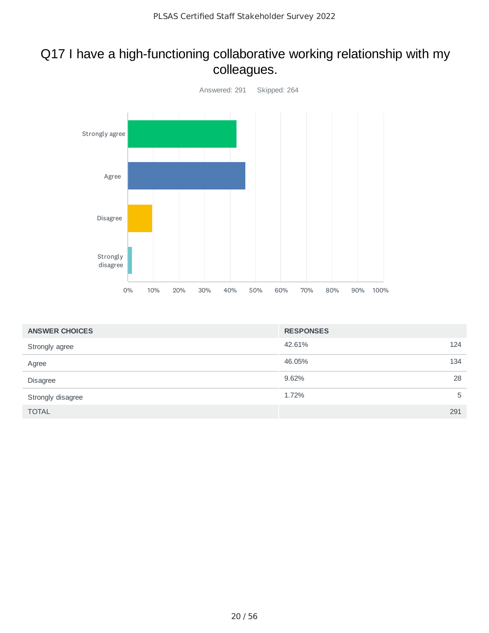#### Q17 I have a high-functioning collaborative working relationship with my colleagues.



| <b>ANSWER CHOICES</b> | <b>RESPONSES</b> |   |
|-----------------------|------------------|---|
| Strongly agree        | 42.61%<br>124    |   |
| Agree                 | 46.05%<br>134    |   |
| Disagree              | 28<br>9.62%      |   |
| Strongly disagree     | 1.72%            | 5 |
| <b>TOTAL</b>          | 291              |   |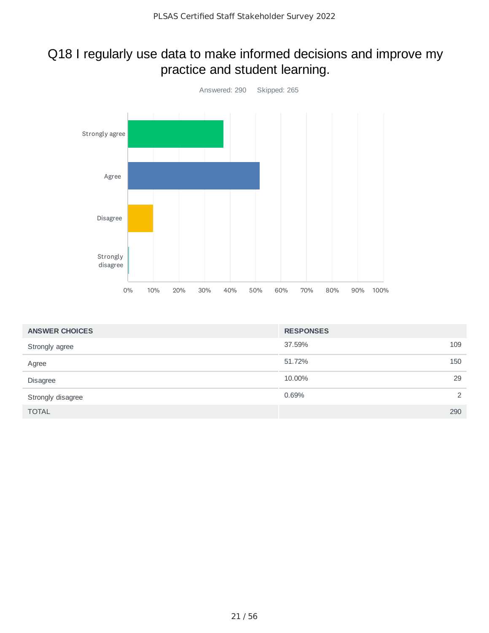#### Q18 I regularly use data to make informed decisions and improve my practice and student learning.



| <b>ANSWER CHOICES</b> | <b>RESPONSES</b> |     |
|-----------------------|------------------|-----|
| Strongly agree        | 37.59%           | 109 |
| Agree                 | 51.72%           | 150 |
| Disagree              | 10.00%           | 29  |
| Strongly disagree     | 0.69%            | 2   |
| <b>TOTAL</b>          |                  | 290 |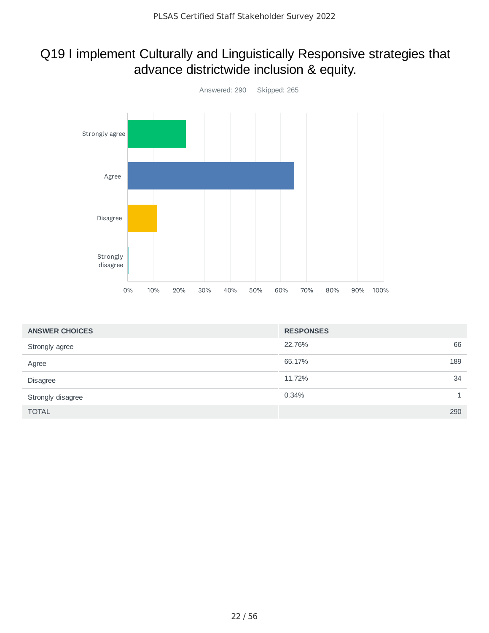#### Q19 I implement Culturally and Linguistically Responsive strategies that advance districtwide inclusion & equity.



| <b>ANSWER CHOICES</b> | <b>RESPONSES</b> |     |
|-----------------------|------------------|-----|
| Strongly agree        | 22.76%           | 66  |
| Agree                 | 65.17%           | 189 |
| Disagree              | 11.72%           | 34  |
| Strongly disagree     | 0.34%            |     |
| <b>TOTAL</b>          |                  | 290 |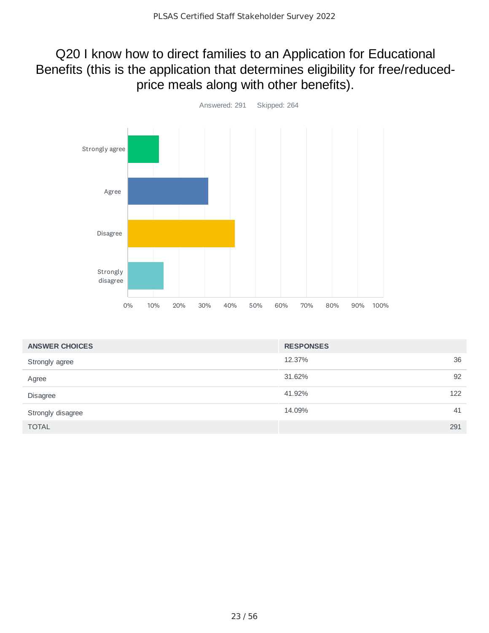#### Q20 I know how to direct families to an Application for Educational Benefits (this is the application that determines eligibility for free/reducedprice meals along with other benefits).



| <b>ANSWER CHOICES</b> | <b>RESPONSES</b> |     |
|-----------------------|------------------|-----|
| Strongly agree        | 12.37%           | 36  |
| Agree                 | 31.62%           | 92  |
| <b>Disagree</b>       | 41.92%           | 122 |
| Strongly disagree     | 14.09%           | 41  |
| <b>TOTAL</b>          |                  | 291 |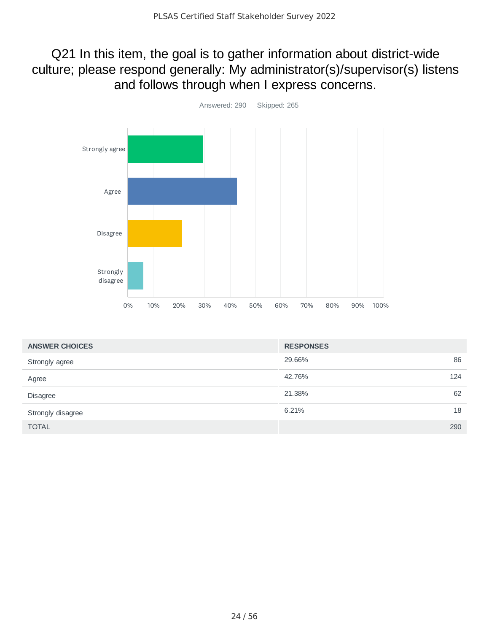#### Q21 In this item, the goal is to gather information about district-wide culture; please respond generally: My administrator(s)/supervisor(s) listens and follows through when I express concerns.



| <b>ANSWER CHOICES</b> | <b>RESPONSES</b> |     |
|-----------------------|------------------|-----|
| Strongly agree        | 29.66%           | 86  |
| Agree                 | 42.76%           | 124 |
| <b>Disagree</b>       | 21.38%           | 62  |
| Strongly disagree     | 6.21%            | 18  |
| <b>TOTAL</b>          |                  | 290 |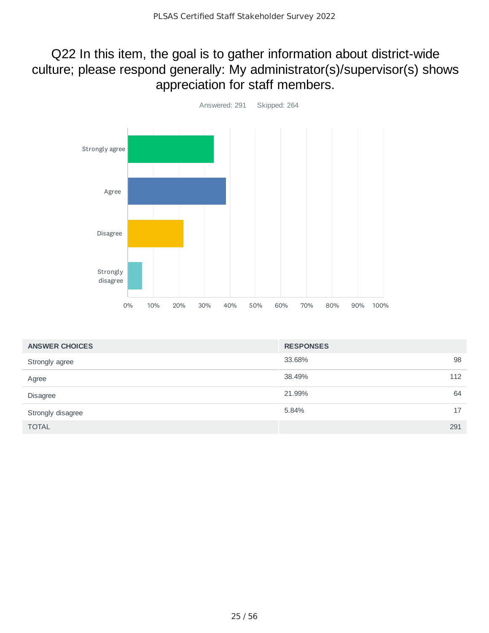#### Q22 In this item, the goal is to gather information about district-wide culture; please respond generally: My administrator(s)/supervisor(s) shows appreciation for staff members.



| <b>ANSWER CHOICES</b> | <b>RESPONSES</b> |     |
|-----------------------|------------------|-----|
| Strongly agree        | 33.68%           | 98  |
| Agree                 | 38.49%           | 112 |
| <b>Disagree</b>       | 21.99%           | 64  |
| Strongly disagree     | 5.84%            | 17  |
| <b>TOTAL</b>          |                  | 291 |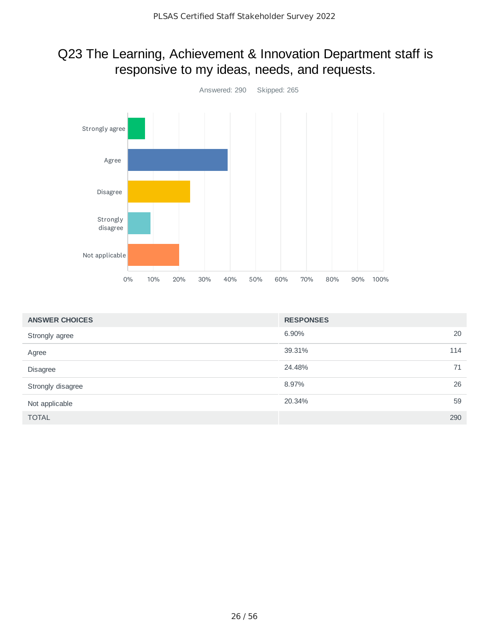#### Q23 The Learning, Achievement & Innovation Department staff is responsive to my ideas, needs, and requests.



| <b>ANSWER CHOICES</b> | <b>RESPONSES</b> |     |
|-----------------------|------------------|-----|
| Strongly agree        | 6.90%            | 20  |
| Agree                 | 39.31%           | 114 |
| Disagree              | 24.48%           | 71  |
| Strongly disagree     | 8.97%            | 26  |
| Not applicable        | 20.34%           | 59  |
| <b>TOTAL</b>          |                  | 290 |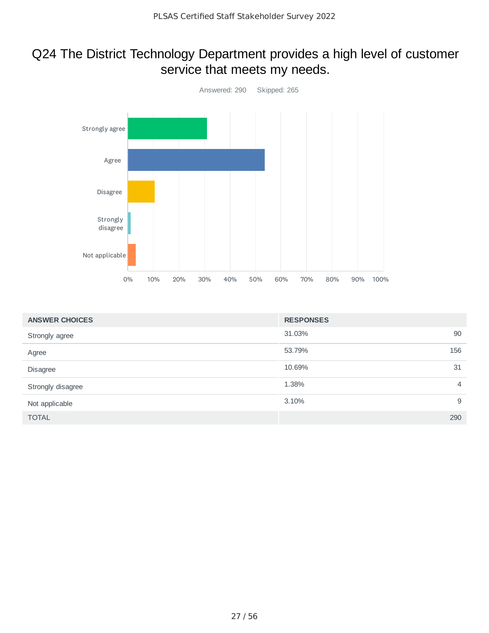#### Q24 The District Technology Department provides a high level of customer service that meets my needs.



| <b>ANSWER CHOICES</b> | <b>RESPONSES</b> |                |
|-----------------------|------------------|----------------|
| Strongly agree        | 31.03%           | 90             |
| Agree                 | 53.79%           | 156            |
| Disagree              | 10.69%           | 31             |
| Strongly disagree     | 1.38%            | $\overline{4}$ |
| Not applicable        | 3.10%            | 9              |
| <b>TOTAL</b>          |                  | 290            |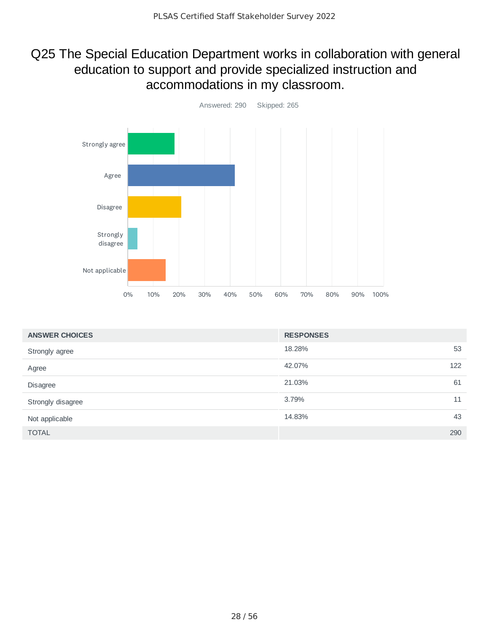#### Q25 The Special Education Department works in collaboration with general education to support and provide specialized instruction and accommodations in my classroom.



| <b>ANSWER CHOICES</b> | <b>RESPONSES</b> |
|-----------------------|------------------|
| Strongly agree        | 18.28%<br>53     |
| Agree                 | 42.07%<br>122    |
| Disagree              | 21.03%<br>61     |
| Strongly disagree     | 3.79%<br>11      |
| Not applicable        | 14.83%<br>43     |
| <b>TOTAL</b>          | 290              |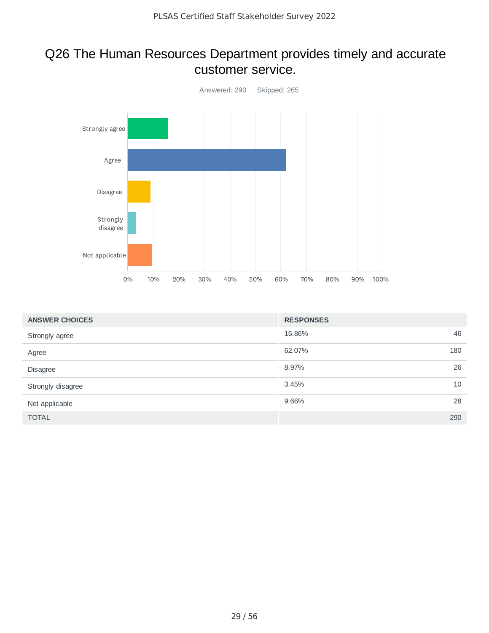#### Q26 The Human Resources Department provides timely and accurate customer service.



| <b>ANSWER CHOICES</b> | <b>RESPONSES</b> |     |
|-----------------------|------------------|-----|
| Strongly agree        | 15.86%           | 46  |
| Agree                 | 62.07%           | 180 |
| Disagree              | 8.97%            | 26  |
| Strongly disagree     | 3.45%            | 10  |
| Not applicable        | 9.66%            | 28  |
| <b>TOTAL</b>          |                  | 290 |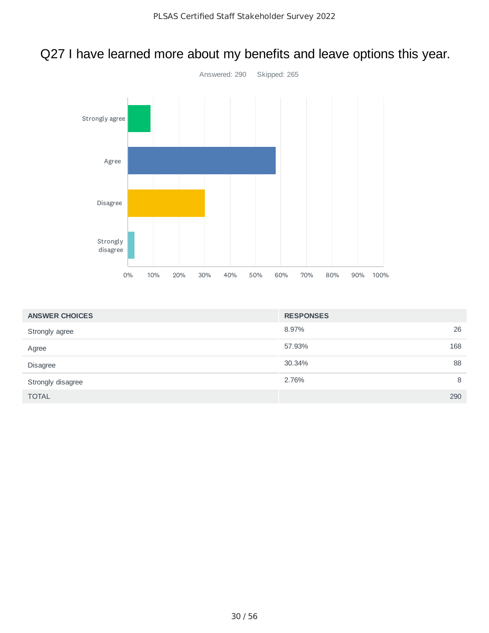### Q27 I have learned more about my benefits and leave options this year.



| <b>ANSWER CHOICES</b> | <b>RESPONSES</b> |     |
|-----------------------|------------------|-----|
| Strongly agree        | 8.97%            | 26  |
| Agree                 | 57.93%           | 168 |
| Disagree              | 30.34%           | 88  |
| Strongly disagree     | 2.76%            | 8   |
| <b>TOTAL</b>          |                  | 290 |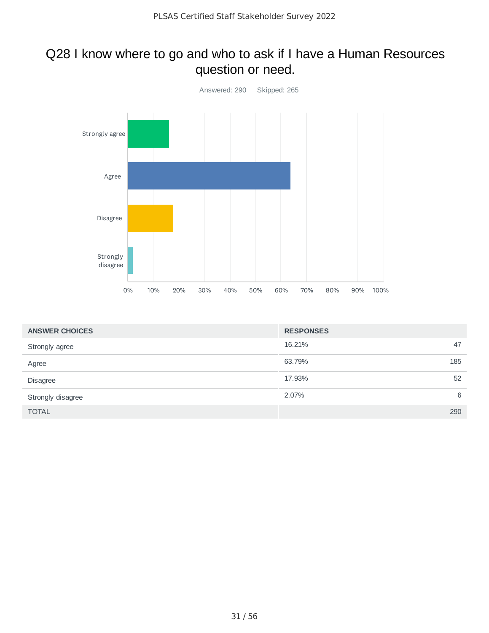#### Q28 I know where to go and who to ask if I have a Human Resources question or need.



| <b>ANSWER CHOICES</b> | <b>RESPONSES</b> |
|-----------------------|------------------|
| Strongly agree        | 16.21%<br>47     |
| Agree                 | 63.79%<br>185    |
| Disagree              | 52<br>17.93%     |
| Strongly disagree     | 6<br>2.07%       |
| <b>TOTAL</b>          | 290              |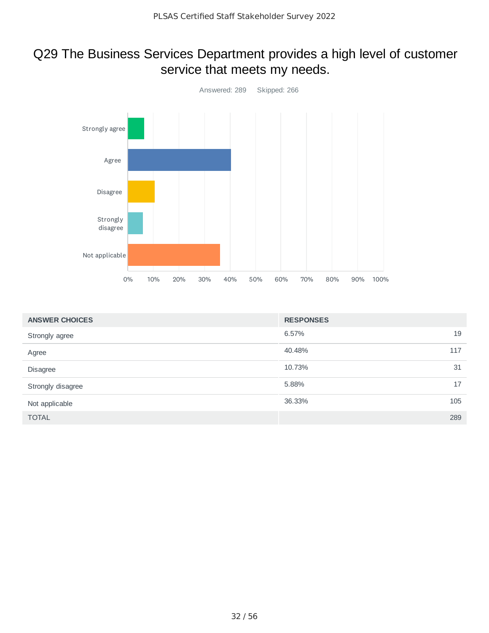#### Q29 The Business Services Department provides a high level of customer service that meets my needs.



| <b>ANSWER CHOICES</b> | <b>RESPONSES</b> |     |
|-----------------------|------------------|-----|
| Strongly agree        | 6.57%            | 19  |
| Agree                 | 40.48%           | 117 |
| Disagree              | 10.73%           | 31  |
| Strongly disagree     | 5.88%            | 17  |
| Not applicable        | 36.33%           | 105 |
| <b>TOTAL</b>          |                  | 289 |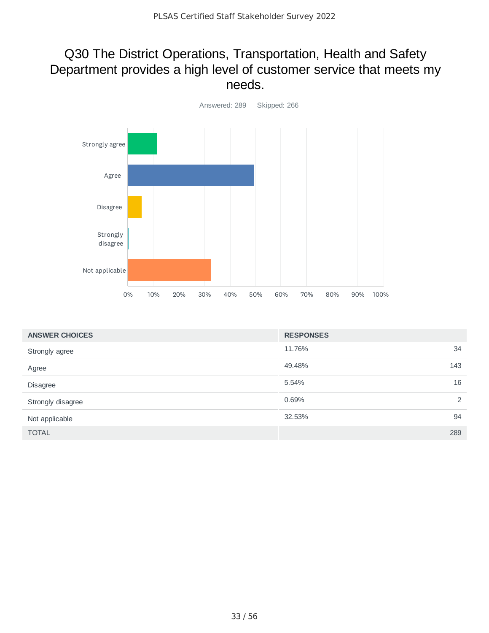#### Q30 The District Operations, Transportation, Health and Safety Department provides a high level of customer service that meets my needs.



| <b>ANSWER CHOICES</b> | <b>RESPONSES</b> |
|-----------------------|------------------|
| Strongly agree        | 11.76%<br>34     |
| Agree                 | 49.48%<br>143    |
| Disagree              | 16<br>5.54%      |
| Strongly disagree     | 0.69%<br>2       |
| Not applicable        | 32.53%<br>94     |
| <b>TOTAL</b>          | 289              |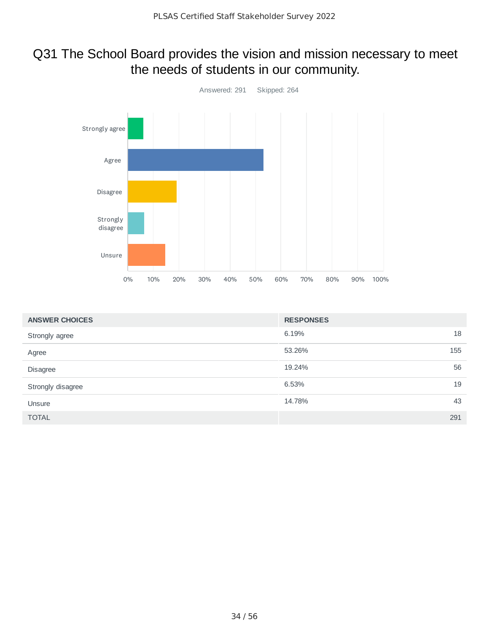#### Q31 The School Board provides the vision and mission necessary to meet the needs of students in our community.



| <b>ANSWER CHOICES</b> | <b>RESPONSES</b> |     |
|-----------------------|------------------|-----|
| Strongly agree        | 6.19%            | 18  |
| Agree                 | 53.26%           | 155 |
| Disagree              | 19.24%           | 56  |
| Strongly disagree     | 6.53%            | 19  |
| Unsure                | 14.78%           | 43  |
| <b>TOTAL</b>          |                  | 291 |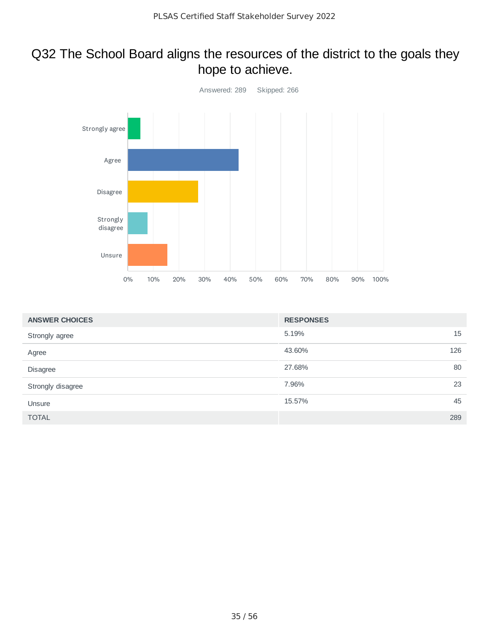#### Q32 The School Board aligns the resources of the district to the goals they hope to achieve.



| <b>ANSWER CHOICES</b> | <b>RESPONSES</b> |     |
|-----------------------|------------------|-----|
| Strongly agree        | 5.19%            | 15  |
| Agree                 | 43.60%           | 126 |
| Disagree              | 27.68%           | 80  |
| Strongly disagree     | 7.96%            | 23  |
| Unsure                | 15.57%           | 45  |
| <b>TOTAL</b>          |                  | 289 |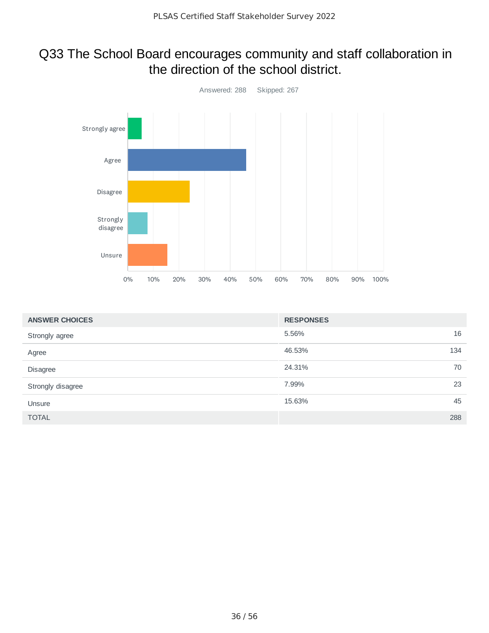#### Q33 The School Board encourages community and staff collaboration in the direction of the school district.



| <b>ANSWER CHOICES</b> | <b>RESPONSES</b> |     |
|-----------------------|------------------|-----|
| Strongly agree        | 5.56%            | 16  |
| Agree                 | 46.53%           | 134 |
| Disagree              | 24.31%           | 70  |
| Strongly disagree     | 7.99%            | 23  |
| Unsure                | 15.63%           | 45  |
| <b>TOTAL</b>          |                  | 288 |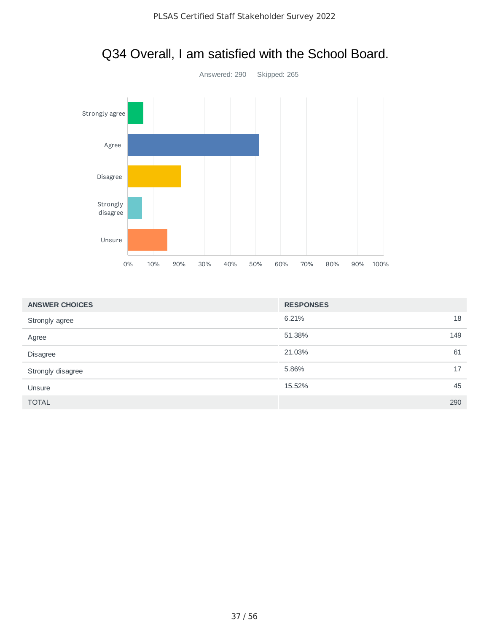

|  |  | Q34 Overall, I am satisfied with the School Board. |  |
|--|--|----------------------------------------------------|--|
|--|--|----------------------------------------------------|--|

| <b>ANSWER CHOICES</b> | <b>RESPONSES</b> |  |
|-----------------------|------------------|--|
| Strongly agree        | 6.21%<br>18      |  |
| Agree                 | 51.38%<br>149    |  |
| Disagree              | 21.03%<br>61     |  |
| Strongly disagree     | 5.86%<br>17      |  |
| Unsure                | 15.52%<br>45     |  |
| <b>TOTAL</b>          | 290              |  |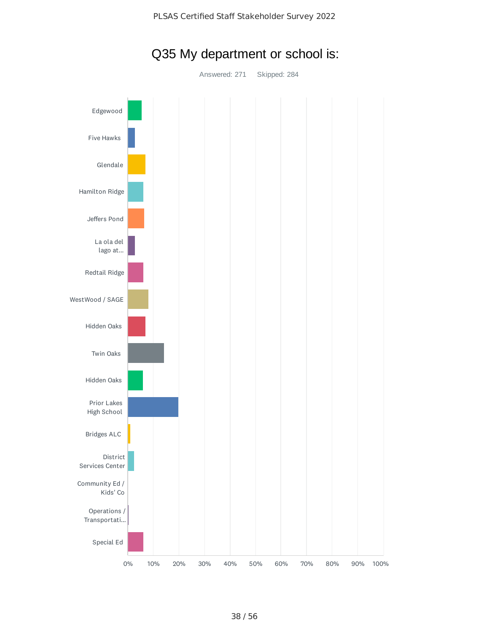

### Q35 My department or school is:

Answered: 271 Skipped: 284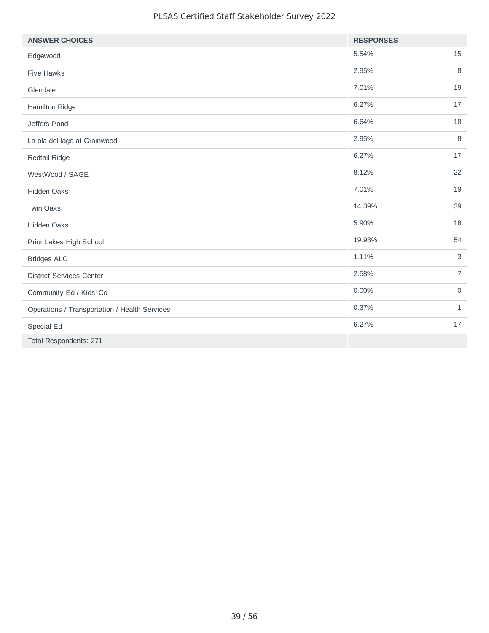#### PLSAS Certified Staff Stakeholder Survey 2022

| <b>ANSWER CHOICES</b>                         | <b>RESPONSES</b> |                |
|-----------------------------------------------|------------------|----------------|
| Edgewood                                      | 5.54%            | 15             |
| <b>Five Hawks</b>                             | 2.95%            | 8              |
| Glendale                                      | 7.01%            | 19             |
| Hamilton Ridge                                | 6.27%            | 17             |
| Jeffers Pond                                  | 6.64%            | 18             |
| La ola del lago at Grainwood                  | 2.95%            | 8              |
| Redtail Ridge                                 | 6.27%            | 17             |
| WestWood / SAGE                               | 8.12%            | 22             |
| Hidden Oaks                                   | 7.01%            | 19             |
| <b>Twin Oaks</b>                              | 14.39%           | 39             |
| Hidden Oaks                                   | 5.90%            | 16             |
| Prior Lakes High School                       | 19.93%           | 54             |
| <b>Bridges ALC</b>                            | 1.11%            | 3              |
| <b>District Services Center</b>               | 2.58%            | $\overline{7}$ |
| Community Ed / Kids' Co                       | 0.00%            | $\mathsf O$    |
| Operations / Transportation / Health Services | 0.37%            | $\mathbf{1}$   |
| Special Ed                                    | 6.27%            | 17             |
| Total Respondents: 271                        |                  |                |